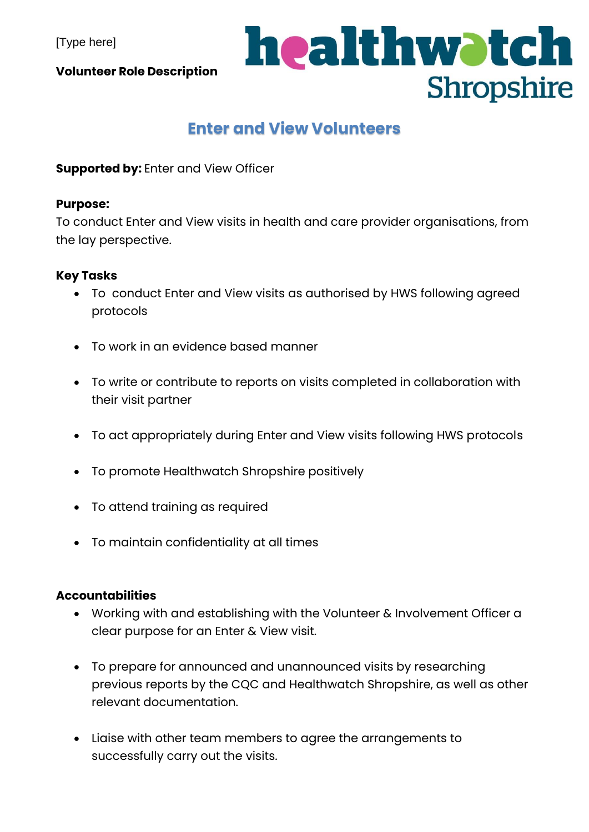[Type here]

**Volunteer Role Description**

## healthwatch Shropshire

### **Enter and View Volunteers**

**Supported by:** Enter and View Officer

#### **Purpose:**

To conduct Enter and View visits in health and care provider organisations, from the lay perspective.

#### **Key Tasks**

- To conduct Enter and View visits as authorised by HWS following agreed protocols
- To work in an evidence based manner
- To write or contribute to reports on visits completed in collaboration with their visit partner
- To act appropriately during Enter and View visits following HWS protocols
- To promote Healthwatch Shropshire positively
- To attend training as required
- To maintain confidentiality at all times

#### **Accountabilities**

- Working with and establishing with the Volunteer & Involvement Officer a clear purpose for an Enter & View visit.
- To prepare for announced and unannounced visits by researching previous reports by the CQC and Healthwatch Shropshire, as well as other relevant documentation.
- Liaise with other team members to agree the arrangements to successfully carry out the visits.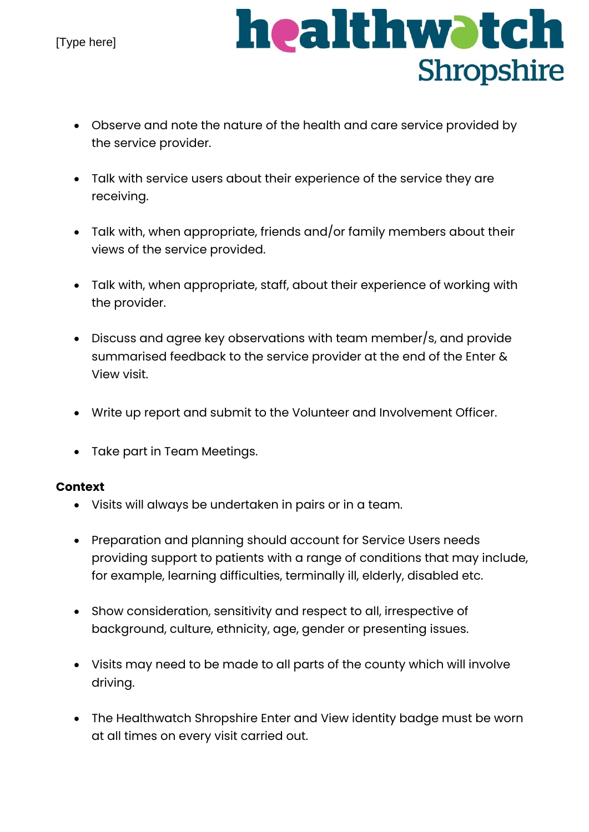

- Observe and note the nature of the health and care service provided by the service provider.
- Talk with service users about their experience of the service they are receiving.
- Talk with, when appropriate, friends and/or family members about their views of the service provided.
- Talk with, when appropriate, staff, about their experience of working with the provider.
- Discuss and agree key observations with team member/s, and provide summarised feedback to the service provider at the end of the Enter & View visit.
- Write up report and submit to the Volunteer and Involvement Officer.
- Take part in Team Meetings.

#### **Context**

- Visits will always be undertaken in pairs or in a team.
- Preparation and planning should account for Service Users needs providing support to patients with a range of conditions that may include, for example, learning difficulties, terminally ill, elderly, disabled etc.
- Show consideration, sensitivity and respect to all, irrespective of background, culture, ethnicity, age, gender or presenting issues.
- Visits may need to be made to all parts of the county which will involve driving.
- The Healthwatch Shropshire Enter and View identity badge must be worn at all times on every visit carried out.